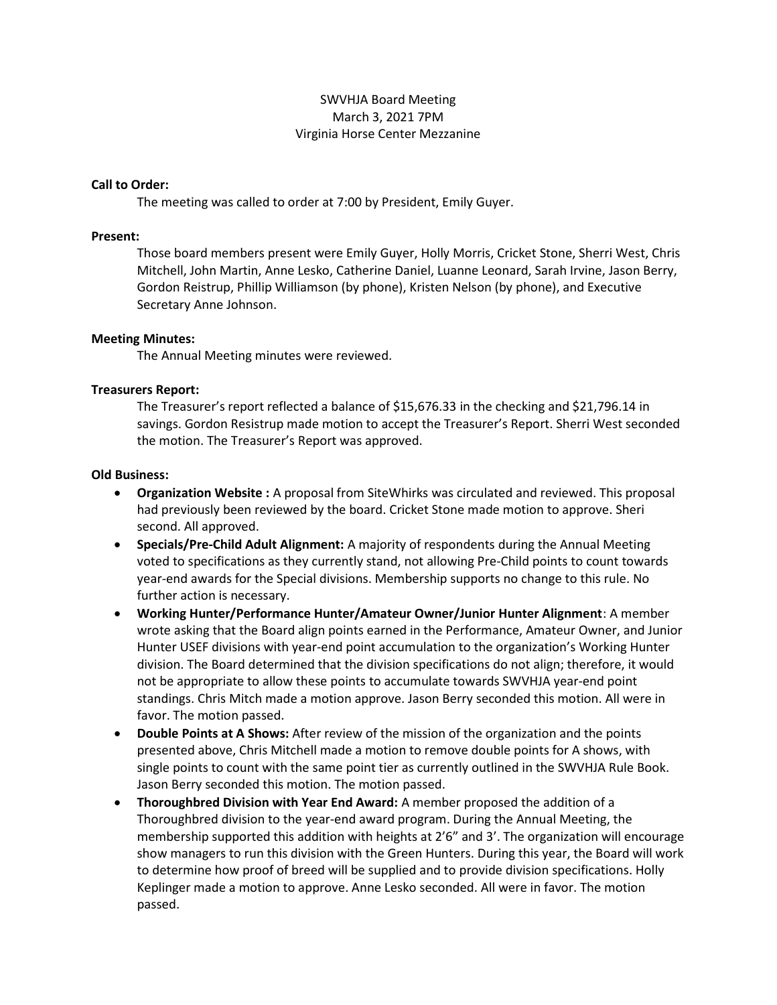# SWVHJA Board Meeting March 3, 2021 7PM Virginia Horse Center Mezzanine

### Call to Order:

The meeting was called to order at 7:00 by President, Emily Guyer.

#### Present:

Those board members present were Emily Guyer, Holly Morris, Cricket Stone, Sherri West, Chris Mitchell, John Martin, Anne Lesko, Catherine Daniel, Luanne Leonard, Sarah Irvine, Jason Berry, Gordon Reistrup, Phillip Williamson (by phone), Kristen Nelson (by phone), and Executive Secretary Anne Johnson.

### Meeting Minutes:

The Annual Meeting minutes were reviewed.

### Treasurers Report:

The Treasurer's report reflected a balance of \$15,676.33 in the checking and \$21,796.14 in savings. Gordon Resistrup made motion to accept the Treasurer's Report. Sherri West seconded the motion. The Treasurer's Report was approved.

### Old Business:

- Organization Website : A proposal from SiteWhirks was circulated and reviewed. This proposal had previously been reviewed by the board. Cricket Stone made motion to approve. Sheri second. All approved.
- Specials/Pre-Child Adult Alignment: A majority of respondents during the Annual Meeting voted to specifications as they currently stand, not allowing Pre-Child points to count towards year-end awards for the Special divisions. Membership supports no change to this rule. No further action is necessary.
- Working Hunter/Performance Hunter/Amateur Owner/Junior Hunter Alignment: A member wrote asking that the Board align points earned in the Performance, Amateur Owner, and Junior Hunter USEF divisions with year-end point accumulation to the organization's Working Hunter division. The Board determined that the division specifications do not align; therefore, it would not be appropriate to allow these points to accumulate towards SWVHJA year-end point standings. Chris Mitch made a motion approve. Jason Berry seconded this motion. All were in favor. The motion passed.
- Double Points at A Shows: After review of the mission of the organization and the points presented above, Chris Mitchell made a motion to remove double points for A shows, with single points to count with the same point tier as currently outlined in the SWVHJA Rule Book. Jason Berry seconded this motion. The motion passed.
- Thoroughbred Division with Year End Award: A member proposed the addition of a Thoroughbred division to the year-end award program. During the Annual Meeting, the membership supported this addition with heights at 2'6" and 3'. The organization will encourage show managers to run this division with the Green Hunters. During this year, the Board will work to determine how proof of breed will be supplied and to provide division specifications. Holly Keplinger made a motion to approve. Anne Lesko seconded. All were in favor. The motion passed.